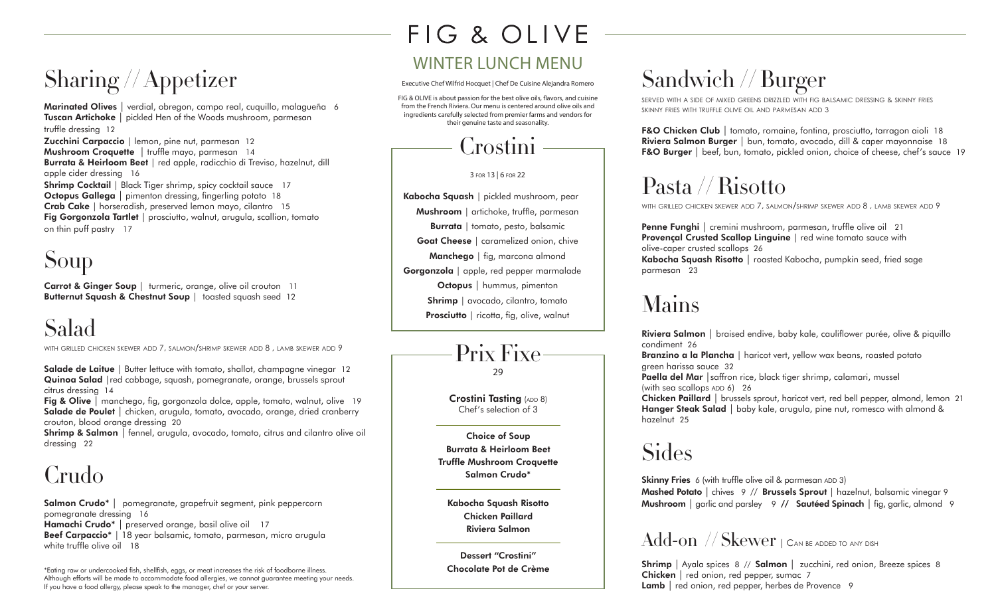# Sharing // Appetizer

**Marinated Olives** | verdial, obregon, campo real, cuquillo, malagueña 6 **Tuscan Artichoke** | pickled Hen of the Woods mushroom, parmesan truffle dressing 12 **Zucchini Carpaccio** | lemon, pine nut, parmesan 12 **Mushroom Croquette** | truffle mayo, parmesan 14 **Burrata & Heirloom Beet** | red apple, radicchio di Treviso, hazelnut, dill apple cider dressing 16 **Shrimp Cocktail** | Black Tiger shrimp, spicy cocktail sauce 17 **Octopus Gallega** | pimenton dressing, fingerling potato 18 **Crab Cake** | horseradish, preserved lemon mayo, cilantro 15 **Fig Gorgonzola Tartlet** | prosciutto, walnut, arugula, scallion, tomato on thin puff pastry 17

# Soup

**Carrot & Ginger Soup** | turmeric, orange, olive oil crouton 11 **Butternut Squash & Chestnut Soup** | toasted squash seed 12

# Salad

with grilled chicken skewer add 7, salmon/shrimp skewer add 8 , lamb skewer add 9

**Salade de Laitue** | Butter lettuce with tomato, shallot, champagne vinegar 12 **Quinoa Salad** |red cabbage, squash, pomegranate, orange, brussels sprout citrus dressing 14

**Fig & Olive** | manchego, fig, gorgonzola dolce, apple, tomato, walnut, olive 19 **Salade de Poulet** | chicken, arugula, tomato, avocado, orange, dried cranberry crouton, blood orange dressing 20

**Shrimp & Salmon** | fennel, arugula, avocado, tomato, citrus and cilantro olive oil dressing 22

# Crudo

**Salmon Crudo\*** | pomegranate, grapefruit segment, pink peppercorn pomegranate dressing 16 **Hamachi Crudo\*** | preserved orange, basil olive oil 17 **Beef Carpaccio\*** | 18 year balsamic, tomato, parmesan, micro arugula white truffle olive oil 18

\*Eating raw or undercooked fish, shellfish, eggs, or meat increases the risk of foodborne illness. Although efforts will be made to accommodate food allergies, we cannot guarantee meeting your needs. If you have a food allergy, please speak to the manager, chef or your server.

# FIG & OLIVE

### WINTER LUNCH MENU

Executive Chef Wilfrid Hocquet | Chef De Cuisine Alejandra Romero

FIG & OLIVE is about passion for the best olive oils, flavors, and cuisine from the French Riviera. Our menu is centered around olive oils and ingredients carefully selected from premier farms and vendors for their genuine taste and seasonality.

# Crostini

3 for 13 | 6 for 22

**Kabocha Squash** | pickled mushroom, pear **Mushroom** | artichoke, truffle, parmesan **Burrata** | tomato, pesto, balsamic **Goat Cheese** | caramelized onion, chive **Manchego** | fig, marcona almond **Gorgonzola** | apple, red pepper marmalade **Octopus** | hummus, pimenton **Shrimp** | avocado, cilantro, tomato **Prosciutto** | ricotta, fig, olive, walnut



**Crostini Tasting** (ADD 8) Chef's selection of 3

**Choice of Soup Burrata & Heirloom Beet Truffle Mushroom Croquette Salmon Crudo\***

**Kabocha Squash Risotto Chicken Paillard Riviera Salmon**

**Dessert "Crostini" Chocolate Pot de Crème**

# Sandwich // Burger

served with a side of mixed greens drizzled with fig balsamic dressing & skinny fries skinny fries with truffle olive oil and parmesan add 3

**F&O Chicken Club** | tomato, romaine, fontina, prosciutto, tarragon aioli 18 **Riviera Salmon Burger** | bun, tomato, avocado, dill & caper mayonnaise 18 **F&O Burger** | beef, bun, tomato, pickled onion, choice of cheese, chef's sauce 19

# Pasta // Risotto

with grilled chicken skewer add 7, salmon/shrimp skewer add 8 , lamb skewer add 9

**Penne Funghi** | cremini mushroom, parmesan, truffle olive oil 21 **Provençal Crusted Scallop Linguine** | red wine tomato sauce with olive-caper crusted scallops 26 **Kabocha Squash Risotto** | roasted Kabocha, pumpkin seed, fried sage parmesan 23

## Mains

**Riviera Salmon** | braised endive, baby kale, cauliflower purée, olive & piquillo condiment 26

**Branzino a la Plancha** | haricot vert, yellow wax beans, roasted potato green harissa sauce 32

**Paella del Mar** | saffron rice, black tiger shrimp, calamari, mussel (with sea scallops  $ADD 6$ ) 26

**Chicken Paillard** | brussels sprout, haricot vert, red bell pepper, almond, lemon 21 **Hanger Steak Salad** | baby kale, arugula, pine nut, romesco with almond & hazelnut 25

# Sides

**Skinny Fries** 6 (with truffle olive oil & parmesan ADD 3) **Mashed Potato** | chives 9 // **Brussels Sprout** | hazelnut, balsamic vinegar 9 **Mushroom** | garlic and parsley 9 **// Sautéed Spinach** | fig, garlic, almond 9

### Add-on // Skewer | CAN BE ADDED TO ANY DISH

**Shrimp** | Ayala spices 8 // **Salmon** | zucchini, red onion, Breeze spices 8 **Chicken** | red onion, red pepper, sumac 7 **Lamb** | red onion, red pepper, herbes de Provence 9